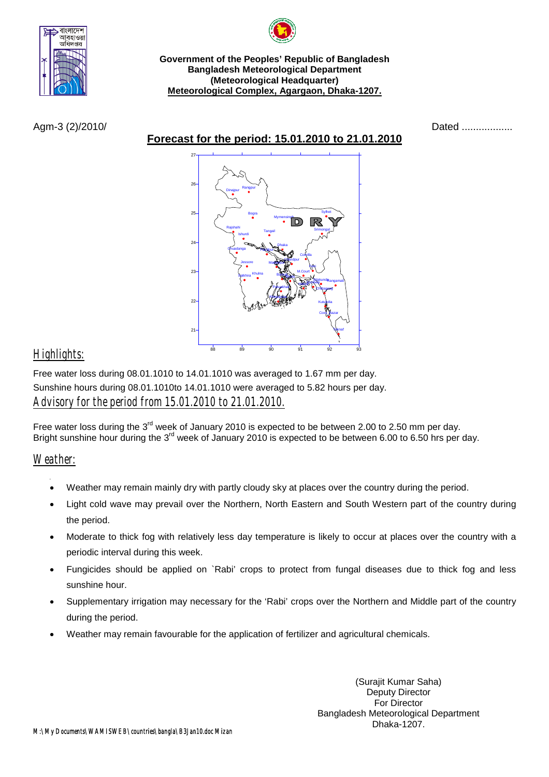

**Government of the Peoples' Republic of Bangladesh Bangladesh Meteorological Department (Meteorological Headquarter) Meteorological Complex, Agargaon, Dhaka-1207.**

**Forecast for the period: 15.01.2010 to 21.01.2010**





## *Highlights:*

Free water loss during 08.01.1010 to 14.01.1010 was averaged to 1.67 mm per day. Sunshine hours during 08.01.1010to 14.01.1010 were averaged to 5.82 hours per day. *Advisory for the period from 15.01.2010 to 21.01.2010.*

Free water loss during the 3<sup>rd</sup> week of January 2010 is expected to be between 2.00 to 2.50 mm per day. Bright sunshine hour during the 3<sup>rd</sup> week of January 2010 is expected to be between 6.00 to 6.50 hrs per day.

## *Weather:*

- Weather may remain mainly dry with partly cloudy sky at places over the country during the period.
- Light cold wave may prevail over the Northern, North Eastern and South Western part of the country during the period.
- Moderate to thick fog with relatively less day temperature is likely to occur at places over the country with a periodic interval during this week.
- Fungicides should be applied on `Rabi' crops to protect from fungal diseases due to thick fog and less sunshine hour.
- Supplementary irrigation may necessary for the 'Rabi' crops over the Northern and Middle part of the country during the period.
- Weather may remain favourable for the application of fertilizer and agricultural chemicals.

(Surajit Kumar Saha) Deputy Director For Director Bangladesh Meteorological Department Dhaka-1207.